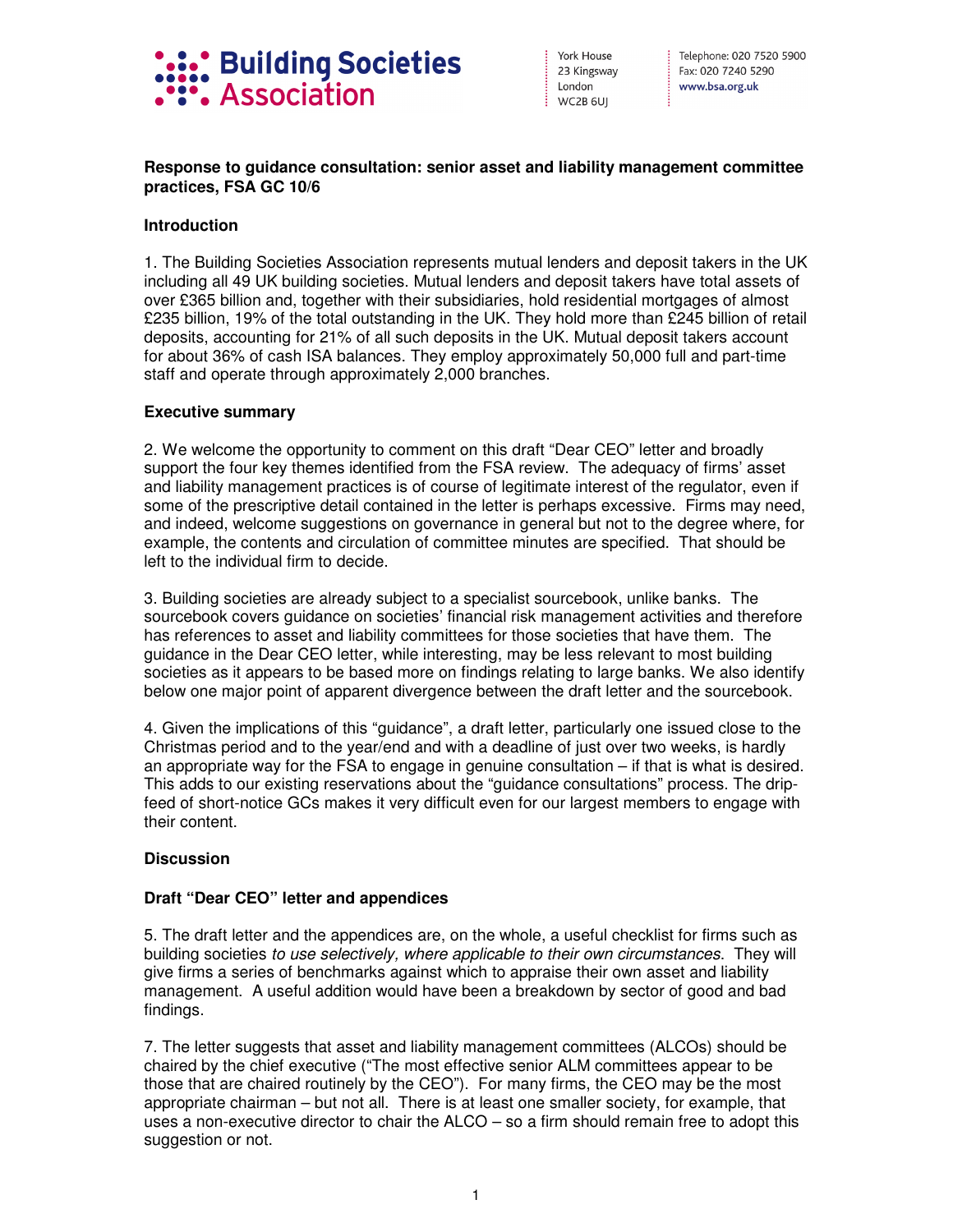

York House 23 Kingsway London WC2B 6UI

: Telephone: 020 7520 5900 Fax: 020 7240 5290 www.bsa.org.uk

# **Response to guidance consultation: senior asset and liability management committee practices, FSA GC 10/6**

# **Introduction**

1. The Building Societies Association represents mutual lenders and deposit takers in the UK including all 49 UK building societies. Mutual lenders and deposit takers have total assets of over £365 billion and, together with their subsidiaries, hold residential mortgages of almost £235 billion, 19% of the total outstanding in the UK. They hold more than £245 billion of retail deposits, accounting for 21% of all such deposits in the UK. Mutual deposit takers account for about 36% of cash ISA balances. They employ approximately 50,000 full and part-time staff and operate through approximately 2,000 branches.

### **Executive summary**

2. We welcome the opportunity to comment on this draft "Dear CEO" letter and broadly support the four key themes identified from the FSA review. The adequacy of firms' asset and liability management practices is of course of legitimate interest of the regulator, even if some of the prescriptive detail contained in the letter is perhaps excessive. Firms may need, and indeed, welcome suggestions on governance in general but not to the degree where, for example, the contents and circulation of committee minutes are specified. That should be left to the individual firm to decide.

3. Building societies are already subject to a specialist sourcebook, unlike banks. The sourcebook covers guidance on societies' financial risk management activities and therefore has references to asset and liability committees for those societies that have them. The guidance in the Dear CEO letter, while interesting, may be less relevant to most building societies as it appears to be based more on findings relating to large banks. We also identify below one major point of apparent divergence between the draft letter and the sourcebook.

4. Given the implications of this "guidance", a draft letter, particularly one issued close to the Christmas period and to the year/end and with a deadline of just over two weeks, is hardly an appropriate way for the FSA to engage in genuine consultation – if that is what is desired. This adds to our existing reservations about the "guidance consultations" process. The dripfeed of short-notice GCs makes it very difficult even for our largest members to engage with their content.

#### **Discussion**

#### **Draft "Dear CEO" letter and appendices**

5. The draft letter and the appendices are, on the whole, a useful checklist for firms such as building societies to use selectively, where applicable to their own circumstances. They will give firms a series of benchmarks against which to appraise their own asset and liability management. A useful addition would have been a breakdown by sector of good and bad findings.

7. The letter suggests that asset and liability management committees (ALCOs) should be chaired by the chief executive ("The most effective senior ALM committees appear to be those that are chaired routinely by the CEO"). For many firms, the CEO may be the most appropriate chairman – but not all. There is at least one smaller society, for example, that uses a non-executive director to chair the ALCO – so a firm should remain free to adopt this suggestion or not.